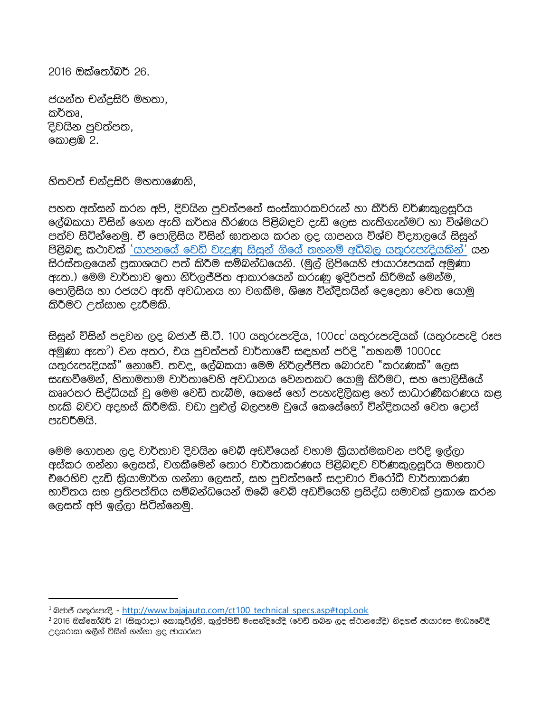2016 ඔක්තෝබර් 26.

ජයන්ත චන්දුසිරි මහතා, කර්තෘ. දිවයින පුවත්පත, කොළඹ 2.

හිතවත් චන්දුසිරි මහතාණෙනි,

පහත අත්සන් කරන අපි. දිවයින පුවත්පතේ සංස්කාරකවරුන් හා කීර්ති වර්ණකුලසුරිය ලේඛකයා විසින් ගෙන ඇති කර්තෘ තීරණය පිළිබඳව දැඩි ලෙස තැතිගැන්මට හා විශ්මයට පත්ව සිටින්නෙමු. ඒ පොලිසිය විසින් ඝාතනය කරන ලද යාපනය විශ්ව විදහාලයේ සිසුන් පිළිබඳ කථාවක් 'යාපනයේ වෙඩි වැදුණු සිසුන් ගියේ තහනම් අධිබල යතුරුපැදියකින්' යන සිරස්තලයෙන් පුකාශයට පත් කිරීම සම්බන්ධයෙනි. (මුල් ලිපියෙහි ජායාරූපයක් අමුණා ඇත.) මෙම වාර්තාව ඉතා නිර්ලජ්ජිත ආකාරයෙන් කරුණු ඉදිරිපත් කිරීමක් මෙන්ම, පොලිසිය හා රජයට ඇති අවධානය හා වගකීම, ශිෂා වින්දිතයින් දෙදෙනා වෙත යොමු කිරීමට උත්සාහ දැරීමකි.

සිසුන් විසින් පදවන ලද බජාජ් සී.ටී. 100 යතුරුපැදිය, 100cc<sup>1</sup> යතුරුපැදියක් (යතුරුපැදි රූප අමුණා ඇත<sup>2</sup>) වන අතර, චිය පුවත්පත් වාර්තාවේ සඳහන් පරිදි "තහනම් 1000cc යතුරුපැදියක්" නොවේ. තවද, ලේඛකයා මෙම නිර්ලජ්ජිත බොරුව "කරුණක්" ලෙස සැඟවීමෙන්, හිතාමතාම වාර්තාවෙහි අවධානය වෙනතකට යොමු කිරීමට, සහ පොලිසීයේ කෲරතර සිද්ධියක් වු මෙම වෙඩි තැබීම, කෙසේ හෝ පැහැදිලිකළ හෝ සාධාරණීකරණය කළ හැකි බවට අදහස් කිරීමකි. වඩා පුළුල් බලපෑම වුයේ කෙසේහෝ වින්දිතයන් වෙත දොස් පැවරීමයි.

මෙම ගොතන ලද වාර්තාව දිවයින වෙබ් අඩවියෙන් වහාම කියාත්මකවන පරිදි ඉල්ලා අස්කර ගන්නා ලෙසත්, වගකීමෙන් තොර වාර්තාකරණය පිළිබඳව වර්ණකුලසූරිය මහතාට චිරෙහිව දැඩි කිුයාමාර්ග ගන්නා ලෙසත්, සහ පුවත්පතේ සදාචාර විරෝධී වාර්තාකරණ භාවිතය සහ පුතිපත්තිය සම්බන්ධයෙන් ඔබේ වෙබ් අඩවියෙහි පුසිද්ධ සමාවක් පුකාශ කරන ලෙසත් අපි ඉල්ලා සිටින්නෙමු.

<sup>&</sup>lt;sup>1</sup> බජාජ් යතුරුපැදි - http://www.bajajauto.com/ct100 technical specs.asp#topLook

<sup>2 2016</sup> ඔක්තෝබර් 21 (සිකුරාදා) කොකුවිල්හි, කුල්ප්පිඩි මංසන්දියේදී (වෙඩි තබන ලද ස්ථානයේදී) නිදහස් ජායාරූප මාධාවේදී උදයරාසා ශලීන් විසින් ගන්නා ලද ජායාරූප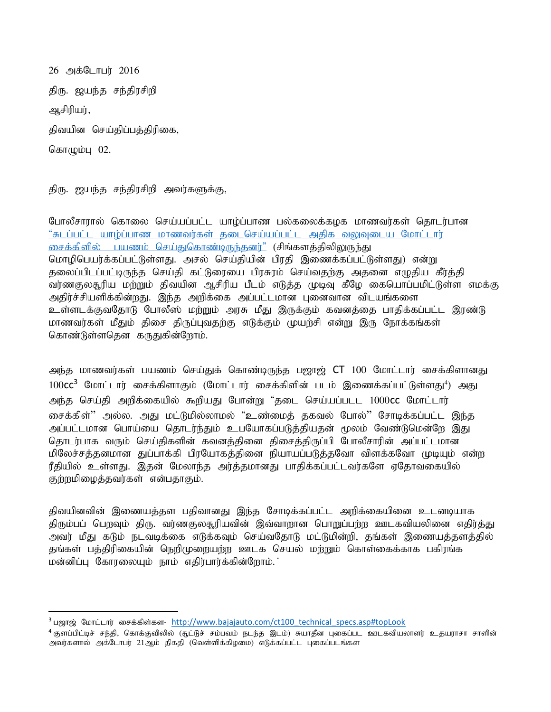26 அக்டோபர் 2016 திரு. ஜயந்த சந்திரசிறி அசிரியர், திவயின செய்திப்பத்திரிகை, கொழும்பு $02$ .

 $\overline{\phantom{a}}$ 

திரு. ஜயந்த சந்திரசிறி அவர்களுக்கு,

போலீசாரால் கொலை செய்யப்பட்ட யாழ்ப்பாண பல்கலைக்கழக மாணவர்கள் தொடர்பான ீசுடப்பட்ட யாழ்ப்பாண மாணவர்கள் தடைசெய்யப்பட்ட அதிக வலுவுடைய மோட்டார் <u>சைக்கிளில் பயணம் செய்துகொண்டிருந்தனர்"</u> (சிங்களத்திலிலுருந்து மொழிபெயர்க்கப்பட்டுள்ளது. அசல் செய்தியின் பிரதி இணைக்கப்பட்டுள்ளது) என்று தலைப்பிடப்பட்டிருந்த செய்தி கட்டுரையை பிரசுரம் செய்வதற்கு அதனை எழுதிய கீர்த்தி வர்ணகுலதுரிய மற்றும் திவயின ஆசிரிய பீடம் எடுத்த முடிவு கீழே கையொப்பமிட்டுள்ள எமக்கு அதிர்ச்சியளிக்கின்றது. இந்த அறிக்கை அப்பட்டமான புனைவான விடயங்களை உள்ளடக்குவதோடு போலீஸ் மற்றும் அரசு மீது இருக்கும் கவனத்தை பாதிக்கப்பட்ட இரண்டு மாணவர்கள் மீதும் திசை திருப்புவதற்கு எடுக்கும் முயற்சி என்று இரு நோக்கங்கள் கொண்டுள்ளதென கருதுகின்றோம்.

அந்த மாணவர்கள் பயணம் செய்துக் கொண்டிருந்த பஜாஜ் **CT** 100 மோட்டார் சைக்கிளானது 100 $\mathsf{cc}^3$  மோட்டார் சைக்கிளாகும் (மோட்டார் சைக்கிளின் படம் இணைக்கப்பட்டுள்ளது $^4$ ) அது அந்த செய்தி அறிக்கையில் கூறியது போன்று "தடை செய்யப்படட 1000**cc** மோட்டார் சைக்கிள்'' அல்ல. அது மட்டுமில்லாமல் "உண்மைத் தகவல் போல்'' சோடிக்கப்பட்ட இந்த அப்பட்டமான பொய்யை தொடர்ந்தும் உபயோகப்படுத்தியதன் மூலம் வேண்டுமென்றே இது தொடர்பாக வரும் செய்திகளின் கவனத்தினை திசைத்திருப்பி போலீசாரின் அப்பட்டமான மிலேச்சத்தனமான துப்பாக்கி பிரயோகத்தினை நியாயப்படுத்தவோ விளக்கவோ முடியும் என்ற ரீதியில் உள்ளது. இதன் மேலாந்த அர்த்தமானது பாதிக்கப்பட்டவர்களே ஏதோவகையில் குற்றமிழைத்தவர்கள் என்பதாகும்.

திவயினவின் இணையத்தள பதிவானது இந்த சோடிக்கப்பட்ட அறிக்கையினை உடனடியாக திரும்பப் பெறவும் திரு. வர்ணகுலதூரியவின் இவ்வாறான பொறுப்பற்ற ஊடகவியலினை எதிர்த்து அவர் மீது கடும் நடவடிக்கை எடுக்கவும் செய்வதோடு மட்டுமின்றி, தங்கள் இணையத்தளத்தில் தங்கள் பத்திரிகையின் நெறிமுறையற்ற ஊடக செயல் மற்றும் கொள்கைக்காக பகிரங்க மன்னிப்பு கோரலையும் நாம் எதிர்பார்க்கின்றோம்.

 $3$  பஜாஜ் மோட்டார் சைக்கிள்கள- http://www.bajajauto.com/ct100 technical specs.asp#topLook

 $^4$ குளப்பிட்டிச் சந்தி, கொக்குவிலில் (சூட்டுச் சம்பவம் நடந்த இடம்) சுயாதீன புகைப்பட ஊடகவியலாளர் உதயராசா சாளின் அவர்களால் அக்டோபர் 21ஆம் திகதி (வெள்ளிக்கிழமை) எடுக்கப்பட்ட புகைப்படங்கள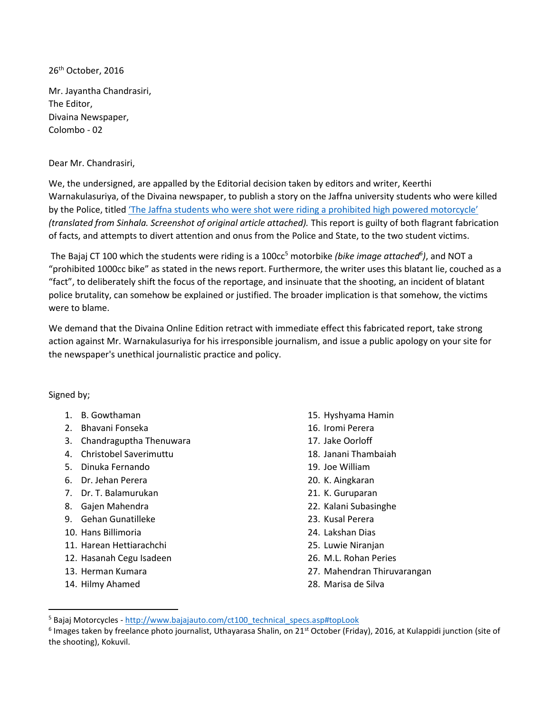26<sup>th</sup> October, 2016

Mr. Jayantha Chandrasiri, The Editor, Divaina Newspaper, Colombo - 02

Dear Mr. Chandrasiri,

We, the undersigned, are appalled by the Editorial decision taken by editors and writer, Keerthi Warnakulasuriya, of the Divaina newspaper, to publish a story on the Jaffna university students who were killed by the Police, titled ['The Jaffna students who were shot were riding a prohibited high powered motorcycle'](http://www.divaina.com/2016/10/25/news16.html) *(translated from Sinhala. Screenshot of original article attached).* This report is guilty of both flagrant fabrication of facts, and attempts to divert attention and onus from the Police and State, to the two student victims.

The Bajaj CT 100 which the students were riding is a 100cc<sup>5</sup> motorbike *(bike image attached<sup>6</sup>),* and NOT a "prohibited 1000cc bike" as stated in the news report. Furthermore, the writer uses this blatant lie, couched as a "fact", to deliberately shift the focus of the reportage, and insinuate that the shooting, an incident of blatant police brutality, can somehow be explained or justified. The broader implication is that somehow, the victims were to blame.

We demand that the Divaina Online Edition retract with immediate effect this fabricated report, take strong action against Mr. Warnakulasuriya for his irresponsible journalism, and issue a public apology on your site for the newspaper's unethical journalistic practice and policy.

Signed by;

- 1. B. Gowthaman
- 2. Bhavani Fonseka
- 3. Chandraguptha Thenuwara
- 4. Christobel Saverimuttu
- 5. Dinuka Fernando
- 6. Dr. Jehan Perera
- 7. Dr. T. Balamurukan
- 8. Gajen Mahendra
- 9. Gehan Gunatilleke
- 10. Hans Billimoria
- 11. Harean Hettiarachchi
- 12. Hasanah Cegu Isadeen
- 13. Herman Kumara
- 14. Hilmy Ahamed

 $\overline{\phantom{a}}$ 

- 15. Hyshyama Hamin
- 16. Iromi Perera
- 17. Jake Oorloff
- 18. Janani Thambaiah
- 19. Joe William
- 20. K. Aingkaran
- 21. K. Guruparan
- 22. Kalani Subasinghe
- 23. Kusal Perera
- 24. Lakshan Dias
- 25. Luwie Niranjan
- 26. M.L. Rohan Peries
- 27. Mahendran Thiruvarangan
- 28. Marisa de Silva

<sup>&</sup>lt;sup>5</sup> Bajaj Motorcycles - [http://www.bajajauto.com/ct100\\_technical\\_specs.asp#topLook](http://www.bajajauto.com/ct100_technical_specs.asp#topLook)

 $^6$  Images taken by freelance photo journalist, Uthayarasa Shalin, on 21<sup>st</sup> October (Friday), 2016, at Kulappidi junction (site of the shooting), Kokuvil.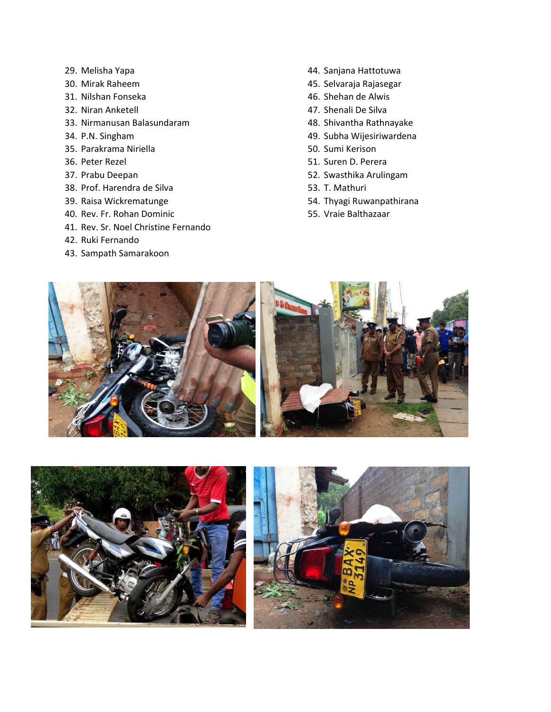- 29. Melisha Yapa
- 30. Mirak Raheem
- 31. Nilshan Fonseka
- 32. Niran Anketell
- 33. Nirmanusan Balasundaram
- 34. P.N. Singham
- 35. Parakrama Niriella
- 36. Peter Rezel
- 37. Prabu Deepan
- 38. Prof. Harendra de Silva
- 39. Raisa Wickrematunge
- 40. Rev. Fr. Rohan Dominic
- 41. Rev. Sr. Noel Christine Fernando
- 42. Ruki Fernando
- 43. Sampath Samarakoon
- 44. Sanjana Hattotuwa
- 45. Selvaraja Rajasegar
- 46. Shehan de Alwis
- 47. Shenali De Silva
- 48. Shivantha Rathnayake
- 49. Subha Wijesiriwardena
- 50. Sumi Kerison
- 51. Suren D. Perera
- 52. Swasthika Arulingam
- 53. T. Mathuri
- 54. Thyagi Ruwanpathirana
- 55. Vraie Balthazaar